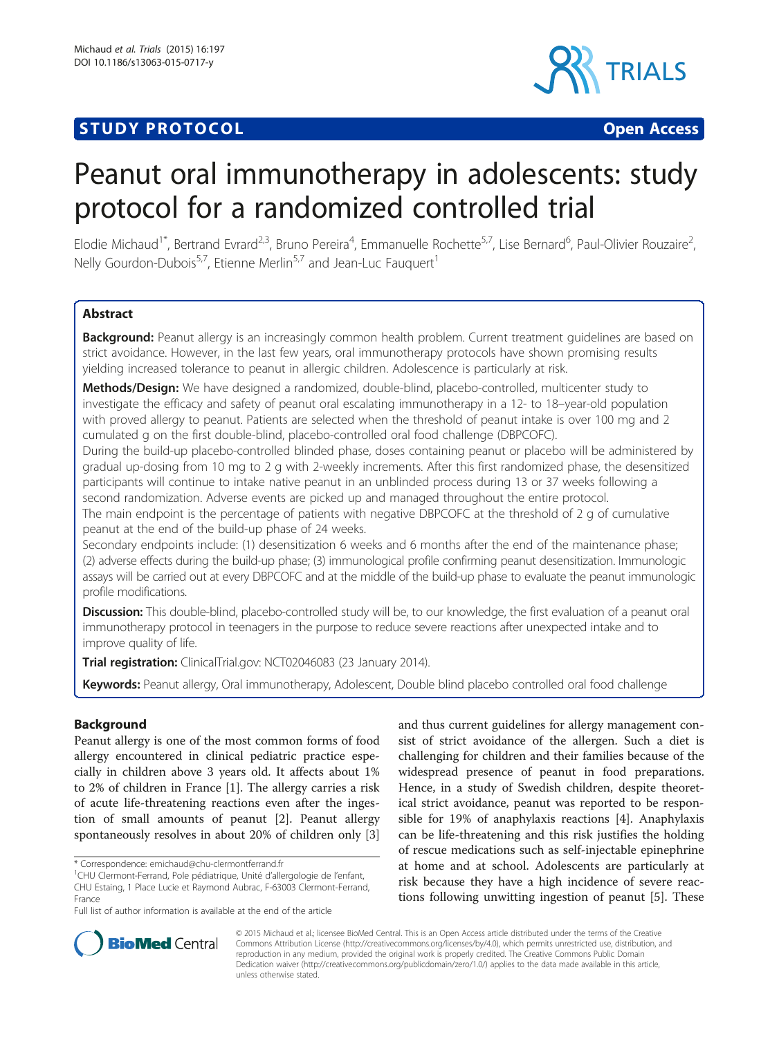# **STUDY PROTOCOL CONSUMING THE RESERVE ACCESS**



# Peanut oral immunotherapy in adolescents: study protocol for a randomized controlled trial

Elodie Michaud<sup>1\*</sup>, Bertrand Evrard<sup>2,3</sup>, Bruno Pereira<sup>4</sup>, Emmanuelle Rochette<sup>5,7</sup>, Lise Bernard<sup>6</sup>, Paul-Olivier Rouzaire<sup>2</sup> , Nelly Gourdon-Dubois<sup>5,7</sup>, Etienne Merlin<sup>5,7</sup> and Jean-Luc Fauquert<sup>1</sup>

# **Abstract**

Background: Peanut allergy is an increasingly common health problem. Current treatment quidelines are based on strict avoidance. However, in the last few years, oral immunotherapy protocols have shown promising results yielding increased tolerance to peanut in allergic children. Adolescence is particularly at risk.

Methods/Design: We have designed a randomized, double-blind, placebo-controlled, multicenter study to investigate the efficacy and safety of peanut oral escalating immunotherapy in a 12- to 18–year-old population with proved allergy to peanut. Patients are selected when the threshold of peanut intake is over 100 mg and 2 cumulated g on the first double-blind, placebo-controlled oral food challenge (DBPCOFC).

During the build-up placebo-controlled blinded phase, doses containing peanut or placebo will be administered by gradual up-dosing from 10 mg to 2 g with 2-weekly increments. After this first randomized phase, the desensitized participants will continue to intake native peanut in an unblinded process during 13 or 37 weeks following a second randomization. Adverse events are picked up and managed throughout the entire protocol.

The main endpoint is the percentage of patients with negative DBPCOFC at the threshold of 2 g of cumulative peanut at the end of the build-up phase of 24 weeks.

Secondary endpoints include: (1) desensitization 6 weeks and 6 months after the end of the maintenance phase; (2) adverse effects during the build-up phase; (3) immunological profile confirming peanut desensitization. Immunologic assays will be carried out at every DBPCOFC and at the middle of the build-up phase to evaluate the peanut immunologic profile modifications.

Discussion: This double-blind, placebo-controlled study will be, to our knowledge, the first evaluation of a peanut oral immunotherapy protocol in teenagers in the purpose to reduce severe reactions after unexpected intake and to improve quality of life.

Trial registration: ClinicalTrial.gov: [NCT02046083](https://clinicaltrials.gov/ct2/show/NCT02046083?term=fauquert&rank=1) (23 January 2014).

Keywords: Peanut allergy, Oral immunotherapy, Adolescent, Double blind placebo controlled oral food challenge

# Background

Peanut allergy is one of the most common forms of food allergy encountered in clinical pediatric practice especially in children above 3 years old. It affects about 1% to 2% of children in France [[1\]](#page-5-0). The allergy carries a risk of acute life-threatening reactions even after the ingestion of small amounts of peanut [\[2](#page-5-0)]. Peanut allergy spontaneously resolves in about 20% of children only [\[3](#page-5-0)]

and thus current guidelines for allergy management consist of strict avoidance of the allergen. Such a diet is challenging for children and their families because of the widespread presence of peanut in food preparations. Hence, in a study of Swedish children, despite theoretical strict avoidance, peanut was reported to be responsible for 19% of anaphylaxis reactions [[4\]](#page-5-0). Anaphylaxis can be life-threatening and this risk justifies the holding of rescue medications such as self-injectable epinephrine at home and at school. Adolescents are particularly at risk because they have a high incidence of severe reactions following unwitting ingestion of peanut [\[5](#page-5-0)]. These



© 2015 Michaud et al.; licensee BioMed Central. This is an Open Access article distributed under the terms of the Creative Commons Attribution License [\(http://creativecommons.org/licenses/by/4.0\)](http://creativecommons.org/licenses/by/4.0), which permits unrestricted use, distribution, and reproduction in any medium, provided the original work is properly credited. The Creative Commons Public Domain Dedication waiver [\(http://creativecommons.org/publicdomain/zero/1.0/](http://creativecommons.org/publicdomain/zero/1.0/)) applies to the data made available in this article, unless otherwise stated.

<sup>\*</sup> Correspondence: [emichaud@chu-clermontferrand.fr](mailto:emichaud@chu-clermontferrand.fr) <sup>1</sup>

<sup>&</sup>lt;sup>1</sup>CHU Clermont-Ferrand, Pole pédiatrique, Unité d'allergologie de l'enfant, CHU Estaing, 1 Place Lucie et Raymond Aubrac, F-63003 Clermont-Ferrand, France

Full list of author information is available at the end of the article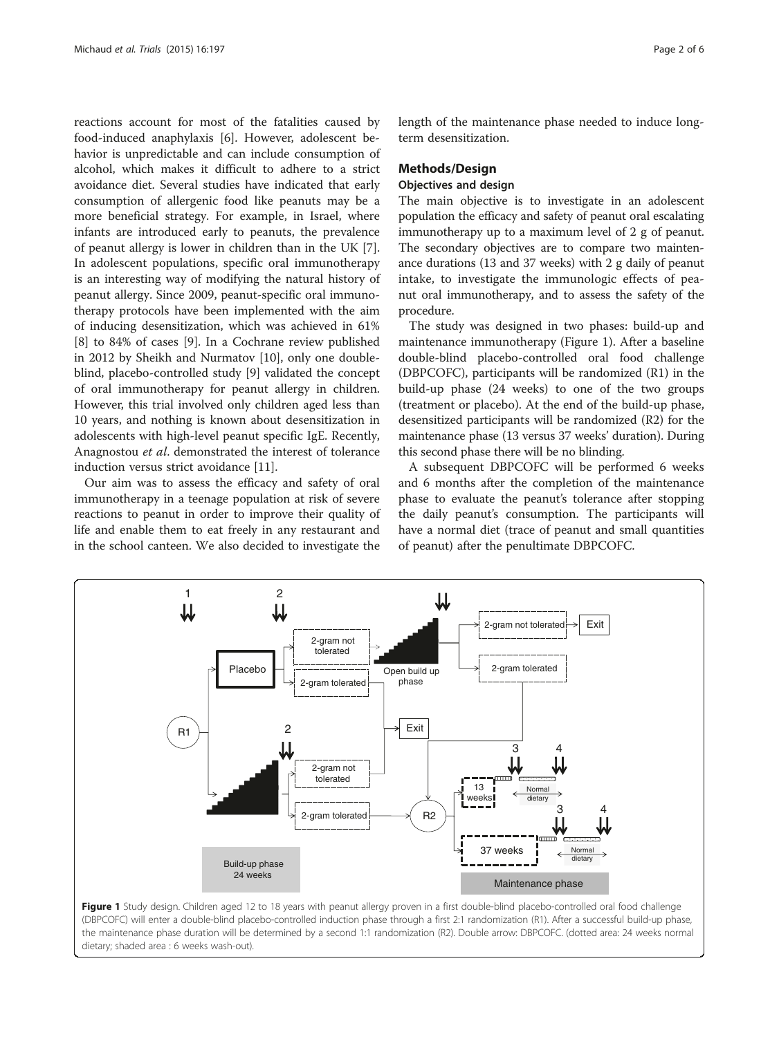reactions account for most of the fatalities caused by food-induced anaphylaxis [[6](#page-5-0)]. However, adolescent behavior is unpredictable and can include consumption of alcohol, which makes it difficult to adhere to a strict avoidance diet. Several studies have indicated that early consumption of allergenic food like peanuts may be a more beneficial strategy. For example, in Israel, where infants are introduced early to peanuts, the prevalence of peanut allergy is lower in children than in the UK [\[7](#page-5-0)]. In adolescent populations, specific oral immunotherapy is an interesting way of modifying the natural history of peanut allergy. Since 2009, peanut-specific oral immunotherapy protocols have been implemented with the aim of inducing desensitization, which was achieved in 61% [[8\]](#page-5-0) to 84% of cases [\[9](#page-5-0)]. In a Cochrane review published in 2012 by Sheikh and Nurmatov [[10](#page-5-0)], only one doubleblind, placebo-controlled study [\[9\]](#page-5-0) validated the concept of oral immunotherapy for peanut allergy in children. However, this trial involved only children aged less than 10 years, and nothing is known about desensitization in adolescents with high-level peanut specific IgE. Recently, Anagnostou et al. demonstrated the interest of tolerance induction versus strict avoidance [\[11](#page-5-0)].

Our aim was to assess the efficacy and safety of oral immunotherapy in a teenage population at risk of severe reactions to peanut in order to improve their quality of life and enable them to eat freely in any restaurant and in the school canteen. We also decided to investigate the length of the maintenance phase needed to induce longterm desensitization.

# Methods/Design

# Objectives and design

The main objective is to investigate in an adolescent population the efficacy and safety of peanut oral escalating immunotherapy up to a maximum level of 2 g of peanut. The secondary objectives are to compare two maintenance durations (13 and 37 weeks) with 2 g daily of peanut intake, to investigate the immunologic effects of peanut oral immunotherapy, and to assess the safety of the procedure.

The study was designed in two phases: build-up and maintenance immunotherapy (Figure 1). After a baseline double-blind placebo-controlled oral food challenge (DBPCOFC), participants will be randomized (R1) in the build-up phase (24 weeks) to one of the two groups (treatment or placebo). At the end of the build-up phase, desensitized participants will be randomized (R2) for the maintenance phase (13 versus 37 weeks' duration). During this second phase there will be no blinding.

A subsequent DBPCOFC will be performed 6 weeks and 6 months after the completion of the maintenance phase to evaluate the peanut's tolerance after stopping the daily peanut's consumption. The participants will have a normal diet (trace of peanut and small quantities of peanut) after the penultimate DBPCOFC.



Figure 1 Study design. Children aged 12 to 18 years with peanut allergy proven in a first double-blind placebo-controlled oral food challenge (DBPCOFC) will enter a double-blind placebo-controlled induction phase through a first 2:1 randomization (R1). After a successful build-up phase, the maintenance phase duration will be determined by a second 1:1 randomization (R2). Double arrow: DBPCOFC. (dotted area: 24 weeks normal dietary; shaded area : 6 weeks wash-out).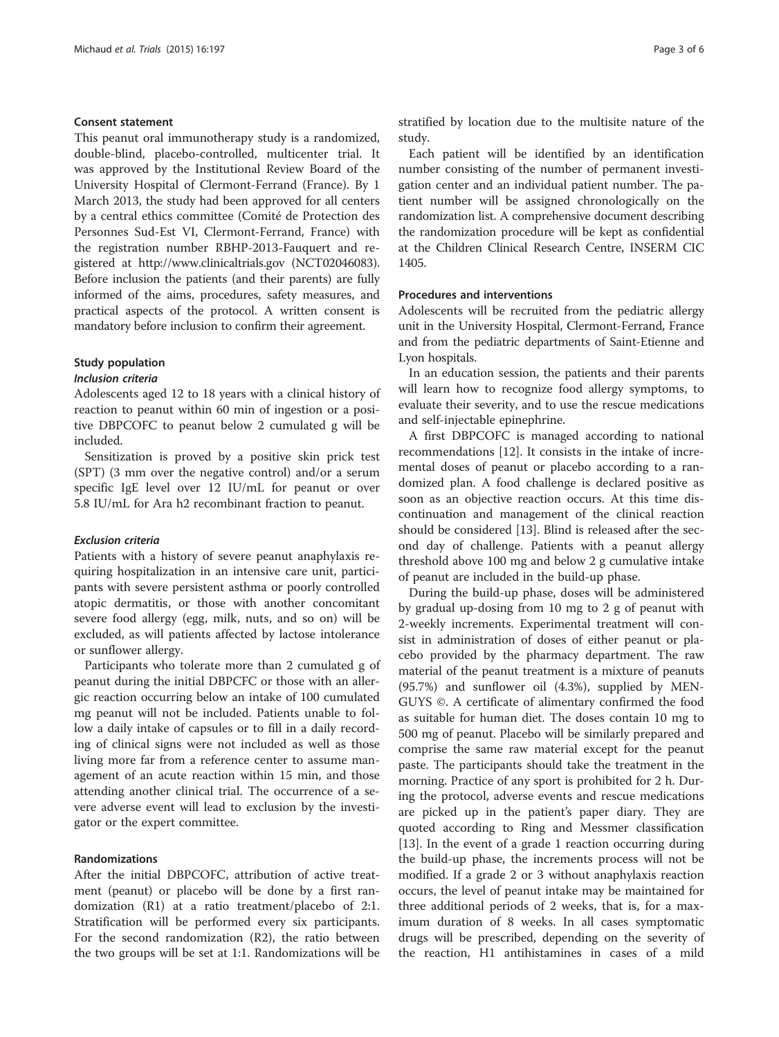#### Consent statement

This peanut oral immunotherapy study is a randomized, double-blind, placebo-controlled, multicenter trial. It was approved by the Institutional Review Board of the University Hospital of Clermont-Ferrand (France). By 1 March 2013, the study had been approved for all centers by a central ethics committee (Comité de Protection des Personnes Sud-Est VI, Clermont-Ferrand, France) with the registration number RBHP-2013-Fauquert and registered at<http://www.clinicaltrials.gov> (NCT02046083). Before inclusion the patients (and their parents) are fully informed of the aims, procedures, safety measures, and practical aspects of the protocol. A written consent is mandatory before inclusion to confirm their agreement.

# Study population

#### Inclusion criteria

Adolescents aged 12 to 18 years with a clinical history of reaction to peanut within 60 min of ingestion or a positive DBPCOFC to peanut below 2 cumulated g will be included.

Sensitization is proved by a positive skin prick test (SPT) (3 mm over the negative control) and/or a serum specific IgE level over 12 IU/mL for peanut or over 5.8 IU/mL for Ara h2 recombinant fraction to peanut.

# Exclusion criteria

Patients with a history of severe peanut anaphylaxis requiring hospitalization in an intensive care unit, participants with severe persistent asthma or poorly controlled atopic dermatitis, or those with another concomitant severe food allergy (egg, milk, nuts, and so on) will be excluded, as will patients affected by lactose intolerance or sunflower allergy.

Participants who tolerate more than 2 cumulated g of peanut during the initial DBPCFC or those with an allergic reaction occurring below an intake of 100 cumulated mg peanut will not be included. Patients unable to follow a daily intake of capsules or to fill in a daily recording of clinical signs were not included as well as those living more far from a reference center to assume management of an acute reaction within 15 min, and those attending another clinical trial. The occurrence of a severe adverse event will lead to exclusion by the investigator or the expert committee.

#### Randomizations

After the initial DBPCOFC, attribution of active treatment (peanut) or placebo will be done by a first randomization (R1) at a ratio treatment/placebo of 2:1. Stratification will be performed every six participants. For the second randomization (R2), the ratio between the two groups will be set at 1:1. Randomizations will be stratified by location due to the multisite nature of the study.

Each patient will be identified by an identification number consisting of the number of permanent investigation center and an individual patient number. The patient number will be assigned chronologically on the randomization list. A comprehensive document describing the randomization procedure will be kept as confidential at the Children Clinical Research Centre, INSERM CIC 1405.

#### Procedures and interventions

Adolescents will be recruited from the pediatric allergy unit in the University Hospital, Clermont-Ferrand, France and from the pediatric departments of Saint-Etienne and Lyon hospitals.

In an education session, the patients and their parents will learn how to recognize food allergy symptoms, to evaluate their severity, and to use the rescue medications and self-injectable epinephrine.

A first DBPCOFC is managed according to national recommendations [[12](#page-5-0)]. It consists in the intake of incremental doses of peanut or placebo according to a randomized plan. A food challenge is declared positive as soon as an objective reaction occurs. At this time discontinuation and management of the clinical reaction should be considered [[13\]](#page-5-0). Blind is released after the second day of challenge. Patients with a peanut allergy threshold above 100 mg and below 2 g cumulative intake of peanut are included in the build-up phase.

During the build-up phase, doses will be administered by gradual up-dosing from 10 mg to 2 g of peanut with 2-weekly increments. Experimental treatment will consist in administration of doses of either peanut or placebo provided by the pharmacy department. The raw material of the peanut treatment is a mixture of peanuts (95.7%) and sunflower oil (4.3%), supplied by MEN-GUYS ©. A certificate of alimentary confirmed the food as suitable for human diet. The doses contain 10 mg to 500 mg of peanut. Placebo will be similarly prepared and comprise the same raw material except for the peanut paste. The participants should take the treatment in the morning. Practice of any sport is prohibited for 2 h. During the protocol, adverse events and rescue medications are picked up in the patient's paper diary. They are quoted according to Ring and Messmer classification [[13\]](#page-5-0). In the event of a grade 1 reaction occurring during the build-up phase, the increments process will not be modified. If a grade 2 or 3 without anaphylaxis reaction occurs, the level of peanut intake may be maintained for three additional periods of 2 weeks, that is, for a maximum duration of 8 weeks. In all cases symptomatic drugs will be prescribed, depending on the severity of the reaction, H1 antihistamines in cases of a mild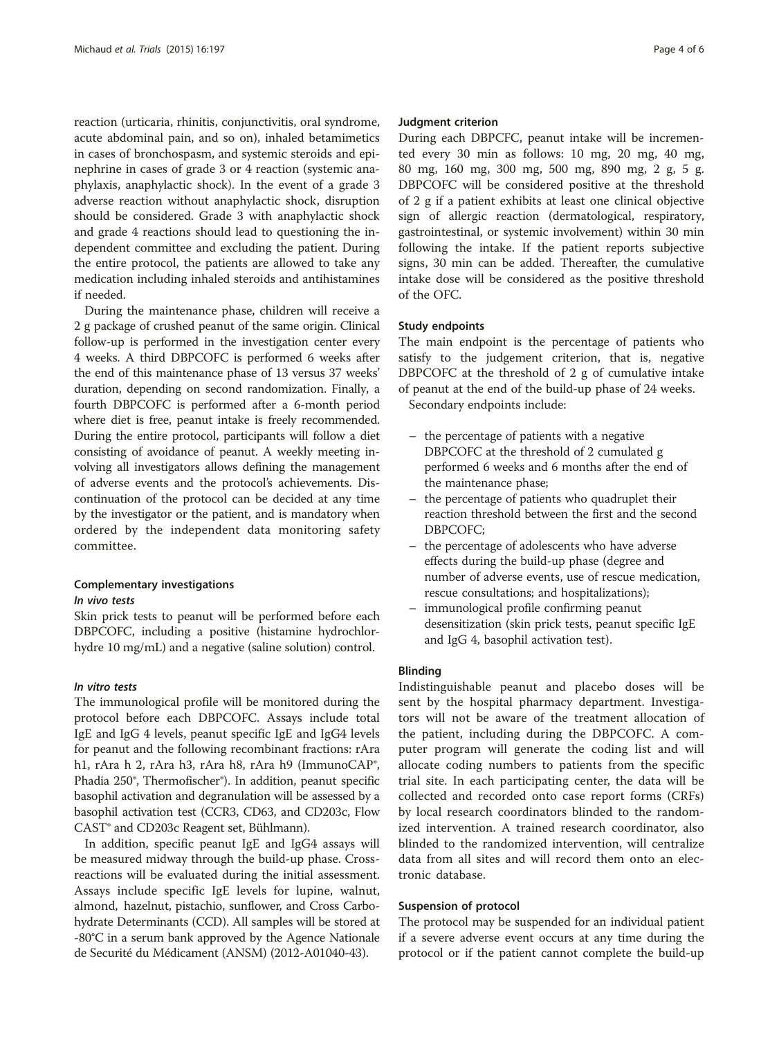reaction (urticaria, rhinitis, conjunctivitis, oral syndrome, acute abdominal pain, and so on), inhaled betamimetics in cases of bronchospasm, and systemic steroids and epinephrine in cases of grade 3 or 4 reaction (systemic anaphylaxis, anaphylactic shock). In the event of a grade 3 adverse reaction without anaphylactic shock, disruption should be considered. Grade 3 with anaphylactic shock and grade 4 reactions should lead to questioning the independent committee and excluding the patient. During the entire protocol, the patients are allowed to take any medication including inhaled steroids and antihistamines if needed.

During the maintenance phase, children will receive a 2 g package of crushed peanut of the same origin. Clinical follow-up is performed in the investigation center every 4 weeks. A third DBPCOFC is performed 6 weeks after the end of this maintenance phase of 13 versus 37 weeks' duration, depending on second randomization. Finally, a fourth DBPCOFC is performed after a 6-month period where diet is free, peanut intake is freely recommended. During the entire protocol, participants will follow a diet consisting of avoidance of peanut. A weekly meeting involving all investigators allows defining the management of adverse events and the protocol's achievements. Discontinuation of the protocol can be decided at any time by the investigator or the patient, and is mandatory when ordered by the independent data monitoring safety committee.

# Complementary investigations

# In vivo tests

Skin prick tests to peanut will be performed before each DBPCOFC, including a positive (histamine hydrochlorhydre 10 mg/mL) and a negative (saline solution) control.

# In vitro tests

The immunological profile will be monitored during the protocol before each DBPCOFC. Assays include total IgE and IgG 4 levels, peanut specific IgE and IgG4 levels for peanut and the following recombinant fractions: rAra h1, rAra h 2, rAra h3, rAra h8, rAra h9 (ImmunoCAP<sup>®</sup>, Phadia 250®, Thermofischer®). In addition, peanut specific basophil activation and degranulation will be assessed by a basophil activation test (CCR3, CD63, and CD203c, Flow CAST® and CD203c Reagent set, Bühlmann).

In addition, specific peanut IgE and IgG4 assays will be measured midway through the build-up phase. Crossreactions will be evaluated during the initial assessment. Assays include specific IgE levels for lupine, walnut, almond, hazelnut, pistachio, sunflower, and Cross Carbohydrate Determinants (CCD). All samples will be stored at -80°C in a serum bank approved by the Agence Nationale de Securité du Médicament (ANSM) (2012-A01040-43).

#### Judgment criterion

During each DBPCFC, peanut intake will be incremented every 30 min as follows: 10 mg, 20 mg, 40 mg, 80 mg, 160 mg, 300 mg, 500 mg, 890 mg, 2 g, 5 g. DBPCOFC will be considered positive at the threshold of 2 g if a patient exhibits at least one clinical objective sign of allergic reaction (dermatological, respiratory, gastrointestinal, or systemic involvement) within 30 min following the intake. If the patient reports subjective signs, 30 min can be added. Thereafter, the cumulative intake dose will be considered as the positive threshold of the OFC.

# Study endpoints

The main endpoint is the percentage of patients who satisfy to the judgement criterion, that is, negative DBPCOFC at the threshold of 2 g of cumulative intake of peanut at the end of the build-up phase of 24 weeks. Secondary endpoints include:

- the percentage of patients with a negative DBPCOFC at the threshold of 2 cumulated g performed 6 weeks and 6 months after the end of the maintenance phase;
- the percentage of patients who quadruplet their reaction threshold between the first and the second DBPCOFC;
- the percentage of adolescents who have adverse effects during the build-up phase (degree and number of adverse events, use of rescue medication, rescue consultations; and hospitalizations);
- immunological profile confirming peanut desensitization (skin prick tests, peanut specific IgE and IgG 4, basophil activation test).

# Blinding

Indistinguishable peanut and placebo doses will be sent by the hospital pharmacy department. Investigators will not be aware of the treatment allocation of the patient, including during the DBPCOFC. A computer program will generate the coding list and will allocate coding numbers to patients from the specific trial site. In each participating center, the data will be collected and recorded onto case report forms (CRFs) by local research coordinators blinded to the randomized intervention. A trained research coordinator, also blinded to the randomized intervention, will centralize data from all sites and will record them onto an electronic database.

# Suspension of protocol

The protocol may be suspended for an individual patient if a severe adverse event occurs at any time during the protocol or if the patient cannot complete the build-up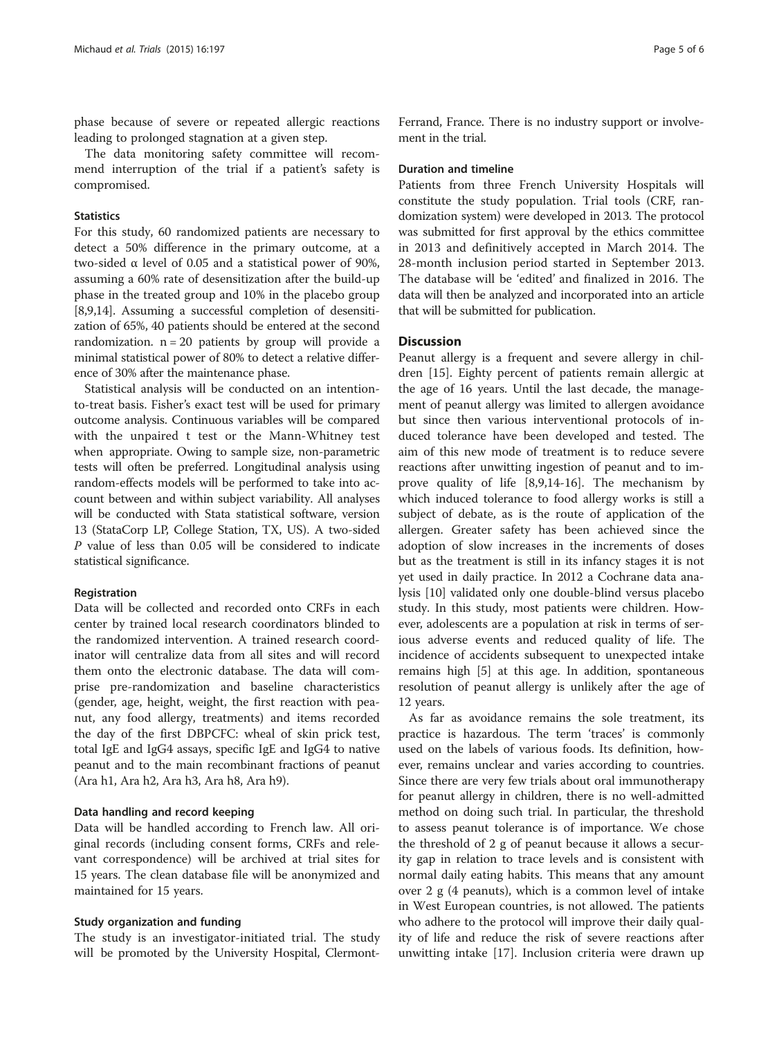phase because of severe or repeated allergic reactions leading to prolonged stagnation at a given step.

The data monitoring safety committee will recommend interruption of the trial if a patient's safety is compromised.

#### **Statistics**

For this study, 60 randomized patients are necessary to detect a 50% difference in the primary outcome, at a two-sided α level of 0.05 and a statistical power of 90%, assuming a 60% rate of desensitization after the build-up phase in the treated group and 10% in the placebo group [[8,9](#page-5-0),[14](#page-5-0)]. Assuming a successful completion of desensitization of 65%, 40 patients should be entered at the second randomization.  $n = 20$  patients by group will provide a minimal statistical power of 80% to detect a relative difference of 30% after the maintenance phase.

Statistical analysis will be conducted on an intentionto-treat basis. Fisher's exact test will be used for primary outcome analysis. Continuous variables will be compared with the unpaired t test or the Mann-Whitney test when appropriate. Owing to sample size, non-parametric tests will often be preferred. Longitudinal analysis using random-effects models will be performed to take into account between and within subject variability. All analyses will be conducted with Stata statistical software, version 13 (StataCorp LP, College Station, TX, US). A two-sided P value of less than 0.05 will be considered to indicate statistical significance.

#### Registration

Data will be collected and recorded onto CRFs in each center by trained local research coordinators blinded to the randomized intervention. A trained research coordinator will centralize data from all sites and will record them onto the electronic database. The data will comprise pre-randomization and baseline characteristics (gender, age, height, weight, the first reaction with peanut, any food allergy, treatments) and items recorded the day of the first DBPCFC: wheal of skin prick test, total IgE and IgG4 assays, specific IgE and IgG4 to native peanut and to the main recombinant fractions of peanut (Ara h1, Ara h2, Ara h3, Ara h8, Ara h9).

#### Data handling and record keeping

Data will be handled according to French law. All original records (including consent forms, CRFs and relevant correspondence) will be archived at trial sites for 15 years. The clean database file will be anonymized and maintained for 15 years.

#### Study organization and funding

The study is an investigator-initiated trial. The study will be promoted by the University Hospital, ClermontFerrand, France. There is no industry support or involvement in the trial.

#### Duration and timeline

Patients from three French University Hospitals will constitute the study population. Trial tools (CRF, randomization system) were developed in 2013. The protocol was submitted for first approval by the ethics committee in 2013 and definitively accepted in March 2014. The 28-month inclusion period started in September 2013. The database will be 'edited' and finalized in 2016. The data will then be analyzed and incorporated into an article that will be submitted for publication.

### **Discussion**

Peanut allergy is a frequent and severe allergy in children [[15\]](#page-5-0). Eighty percent of patients remain allergic at the age of 16 years. Until the last decade, the management of peanut allergy was limited to allergen avoidance but since then various interventional protocols of induced tolerance have been developed and tested. The aim of this new mode of treatment is to reduce severe reactions after unwitting ingestion of peanut and to improve quality of life [\[8,9,14](#page-5-0)-[16\]](#page-5-0). The mechanism by which induced tolerance to food allergy works is still a subject of debate, as is the route of application of the allergen. Greater safety has been achieved since the adoption of slow increases in the increments of doses but as the treatment is still in its infancy stages it is not yet used in daily practice. In 2012 a Cochrane data analysis [\[10](#page-5-0)] validated only one double-blind versus placebo study. In this study, most patients were children. However, adolescents are a population at risk in terms of serious adverse events and reduced quality of life. The incidence of accidents subsequent to unexpected intake remains high [[5\]](#page-5-0) at this age. In addition, spontaneous resolution of peanut allergy is unlikely after the age of 12 years.

As far as avoidance remains the sole treatment, its practice is hazardous. The term 'traces' is commonly used on the labels of various foods. Its definition, however, remains unclear and varies according to countries. Since there are very few trials about oral immunotherapy for peanut allergy in children, there is no well-admitted method on doing such trial. In particular, the threshold to assess peanut tolerance is of importance. We chose the threshold of 2 g of peanut because it allows a security gap in relation to trace levels and is consistent with normal daily eating habits. This means that any amount over 2 g (4 peanuts), which is a common level of intake in West European countries, is not allowed. The patients who adhere to the protocol will improve their daily quality of life and reduce the risk of severe reactions after unwitting intake [\[17](#page-5-0)]. Inclusion criteria were drawn up